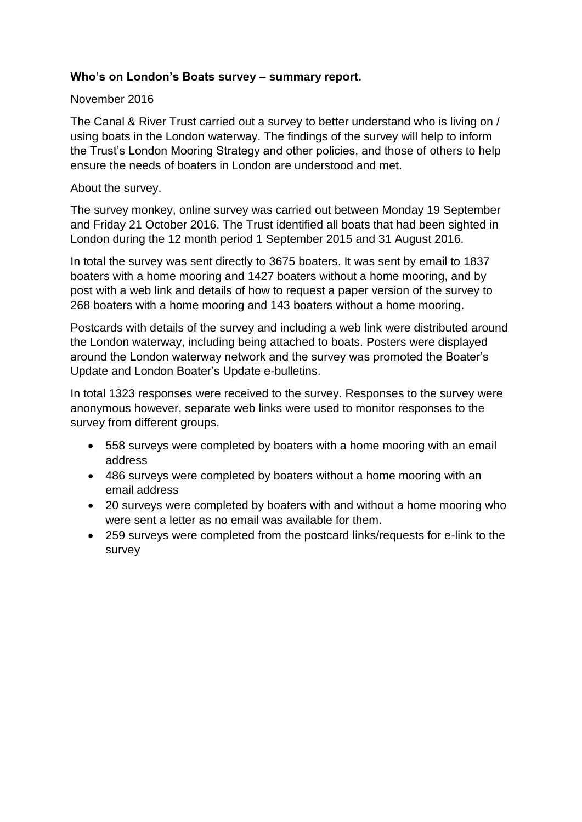### **Who's on London's Boats survey – summary report.**

### November 2016

The Canal & River Trust carried out a survey to better understand who is living on / using boats in the London waterway. The findings of the survey will help to inform the Trust's London Mooring Strategy and other policies, and those of others to help ensure the needs of boaters in London are understood and met.

### About the survey.

The survey monkey, online survey was carried out between Monday 19 September and Friday 21 October 2016. The Trust identified all boats that had been sighted in London during the 12 month period 1 September 2015 and 31 August 2016.

In total the survey was sent directly to 3675 boaters. It was sent by email to 1837 boaters with a home mooring and 1427 boaters without a home mooring, and by post with a web link and details of how to request a paper version of the survey to 268 boaters with a home mooring and 143 boaters without a home mooring.

Postcards with details of the survey and including a web link were distributed around the London waterway, including being attached to boats. Posters were displayed around the London waterway network and the survey was promoted the Boater's Update and London Boater's Update e-bulletins.

In total 1323 responses were received to the survey. Responses to the survey were anonymous however, separate web links were used to monitor responses to the survey from different groups.

- 558 surveys were completed by boaters with a home mooring with an email address
- 486 surveys were completed by boaters without a home mooring with an email address
- 20 surveys were completed by boaters with and without a home mooring who were sent a letter as no email was available for them.
- 259 surveys were completed from the postcard links/requests for e-link to the survey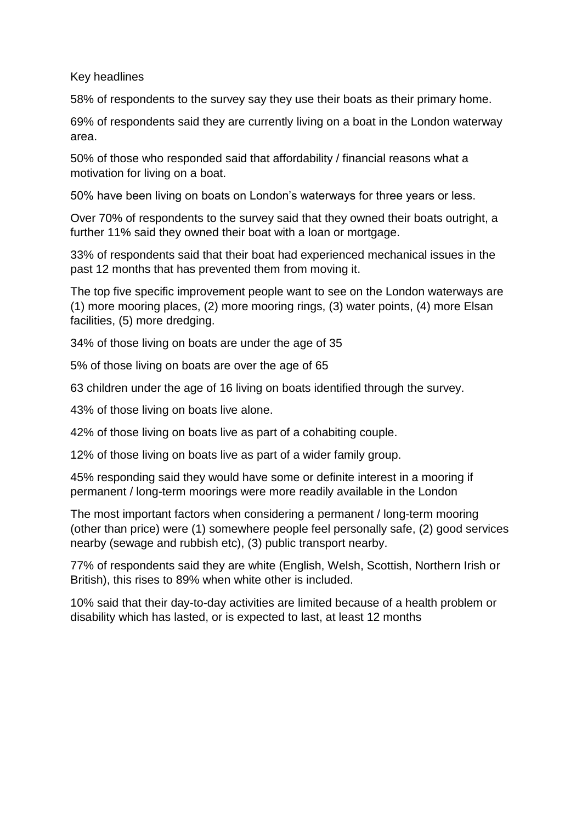Key headlines

58% of respondents to the survey say they use their boats as their primary home.

69% of respondents said they are currently living on a boat in the London waterway area.

50% of those who responded said that affordability / financial reasons what a motivation for living on a boat.

50% have been living on boats on London's waterways for three years or less.

Over 70% of respondents to the survey said that they owned their boats outright, a further 11% said they owned their boat with a loan or mortgage.

33% of respondents said that their boat had experienced mechanical issues in the past 12 months that has prevented them from moving it.

The top five specific improvement people want to see on the London waterways are (1) more mooring places, (2) more mooring rings, (3) water points, (4) more Elsan facilities, (5) more dredging.

34% of those living on boats are under the age of 35

5% of those living on boats are over the age of 65

63 children under the age of 16 living on boats identified through the survey.

43% of those living on boats live alone.

42% of those living on boats live as part of a cohabiting couple.

12% of those living on boats live as part of a wider family group.

45% responding said they would have some or definite interest in a mooring if permanent / long-term moorings were more readily available in the London

The most important factors when considering a permanent / long-term mooring (other than price) were (1) somewhere people feel personally safe, (2) good services nearby (sewage and rubbish etc), (3) public transport nearby.

77% of respondents said they are white (English, Welsh, Scottish, Northern Irish or British), this rises to 89% when white other is included.

10% said that their day-to-day activities are limited because of a health problem or disability which has lasted, or is expected to last, at least 12 months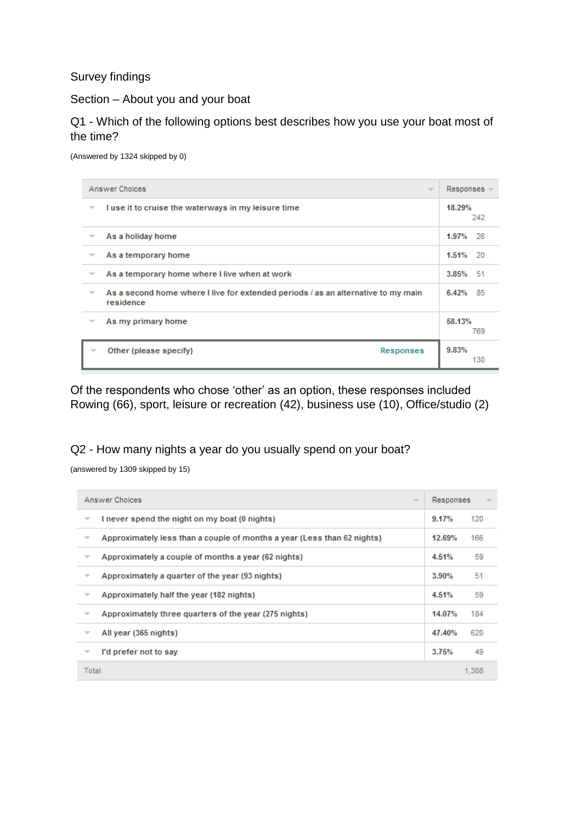Survey findings

Section – About you and your boat

Q1 - Which of the following options best describes how you use your boat most of the time?

(Answered by 1324 skipped by 0)

|                          | Answer Choices<br>$\overline{\phantom{a}}$                                                     | $Respones =$ |     |
|--------------------------|------------------------------------------------------------------------------------------------|--------------|-----|
| ₩                        | I use it to cruise the waterways in my leisure time                                            | 18.29%       | 242 |
|                          | As a holiday home                                                                              | 1.97% 26     |     |
|                          | As a temporary home                                                                            | 1.51% 20     |     |
|                          | As a temporary home where I live when at work                                                  | 3.85% 51     |     |
| $\overline{\phantom{a}}$ | As a second home where I live for extended periods / as an alternative to my main<br>residence | 6.42% 85     |     |
|                          | As my primary home                                                                             | 58.13%       | 769 |
|                          | Other (please specify)<br>Responses                                                            | 9.83%        | 130 |

Of the respondents who chose 'other' as an option, these responses included Rowing (66), sport, leisure or recreation (42), business use (10), Office/studio (2)

Q2 - How many nights a year do you usually spend on your boat?

(answered by 1309 skipped by 15)

|                          | Answer Choices<br>$\overline{\phantom{a}}$                              | Responses |       |
|--------------------------|-------------------------------------------------------------------------|-----------|-------|
| ▼                        | I never spend the night on my boat (0 nights)                           | 9.17%     | 120   |
| ▼                        | Approximately less than a couple of months a year (Less than 62 nights) | 12.69%    | 166   |
|                          | Approximately a couple of months a year (62 nights)                     | 4.51%     | 59    |
| $\overline{\phantom{a}}$ | Approximately a quarter of the year (93 nights)                         | 3.90%     | 51    |
| ▼                        | Approximately half the year (182 nights)                                | 4.51%     | 59    |
| $\overline{\phantom{a}}$ | Approximately three quarters of the year (275 nights)                   | 14.07%    | 184   |
| ▼                        | All year (365 nights)                                                   | 47.40%    | 620   |
|                          | I'd prefer not to say                                                   | 3.75%     | 49    |
| Total                    |                                                                         |           | 1.308 |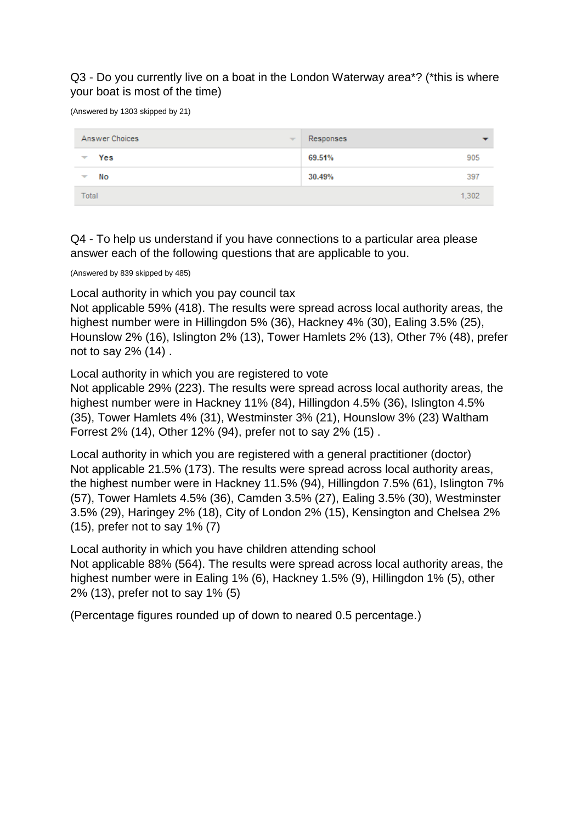### Q3 - Do you currently live on a boat in the London Waterway area\*? (\*this is where your boat is most of the time)

(Answered by 1303 skipped by 21)

| Answer Choices<br>$\overline{\phantom{a}}$ | Responses |
|--------------------------------------------|-----------|
| Yes                                        | 69.51%    |
| $\overline{\phantom{a}}$                   | 905       |
| No                                         | 30.49%    |
| $\overline{\phantom{a}}$                   | 397       |
| Total                                      | 1,302     |

Q4 - To help us understand if you have connections to a particular area please answer each of the following questions that are applicable to you.

(Answered by 839 skipped by 485)

Local authority in which you pay council tax

Not applicable 59% (418). The results were spread across local authority areas, the highest number were in Hillingdon 5% (36), Hackney 4% (30), Ealing 3.5% (25), Hounslow 2% (16), Islington 2% (13), Tower Hamlets 2% (13), Other 7% (48), prefer not to say 2% (14) .

Local authority in which you are registered to vote

Not applicable 29% (223). The results were spread across local authority areas, the highest number were in Hackney 11% (84), Hillingdon 4.5% (36), Islington 4.5% (35), Tower Hamlets 4% (31), Westminster 3% (21), Hounslow 3% (23) Waltham Forrest 2% (14), Other 12% (94), prefer not to say 2% (15) .

Local authority in which you are registered with a general practitioner (doctor) Not applicable 21.5% (173). The results were spread across local authority areas, the highest number were in Hackney 11.5% (94), Hillingdon 7.5% (61), Islington 7% (57), Tower Hamlets 4.5% (36), Camden 3.5% (27), Ealing 3.5% (30), Westminster 3.5% (29), Haringey 2% (18), City of London 2% (15), Kensington and Chelsea 2% (15), prefer not to say 1% (7)

Local authority in which you have children attending school Not applicable 88% (564). The results were spread across local authority areas, the highest number were in Ealing 1% (6), Hackney 1.5% (9), Hillingdon 1% (5), other 2% (13), prefer not to say 1% (5)

(Percentage figures rounded up of down to neared 0.5 percentage.)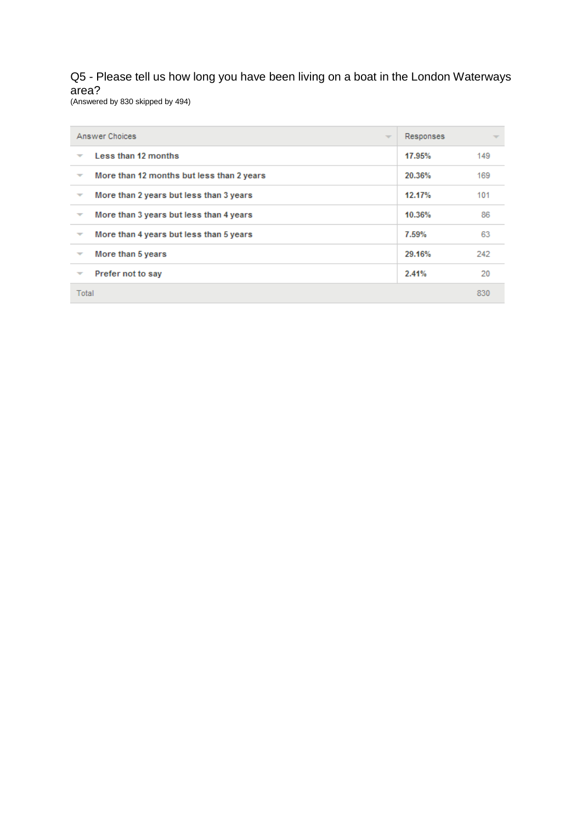## Q5 - Please tell us how long you have been living on a boat in the London Waterways area?

(Answered by 830 skipped by 494)

| Answer Choices                                                        | $\overline{\phantom{a}}$ | Responses |     |
|-----------------------------------------------------------------------|--------------------------|-----------|-----|
| Less than 12 months<br>$\overline{\phantom{a}}$                       |                          | 17.95%    | 149 |
| More than 12 months but less than 2 years<br>$\overline{\phantom{a}}$ |                          | 20.36%    | 169 |
| More than 2 years but less than 3 years<br>$\overline{\phantom{a}}$   |                          | 12.17%    | 101 |
| More than 3 years but less than 4 years<br>$\overline{\phantom{a}}$   |                          | 10.36%    | 86  |
| More than 4 years but less than 5 years<br>$\overline{\phantom{a}}$   |                          | 7.59%     | 63  |
| More than 5 years<br>$\overline{\phantom{a}}$                         |                          | 29.16%    | 242 |
| Prefer not to say<br>$\overline{\phantom{a}}$                         |                          | 2.41%     | 20  |
| Total                                                                 |                          |           | 830 |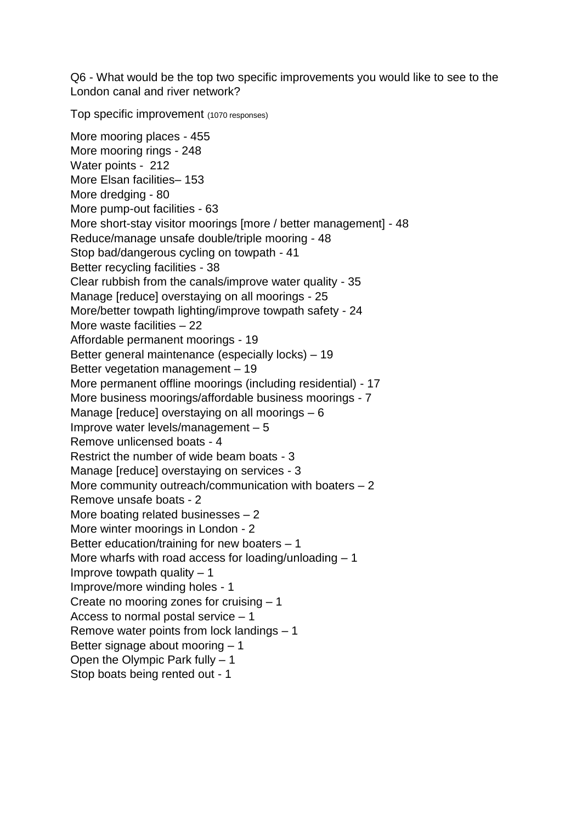Q6 - What would be the top two specific improvements you would like to see to the London canal and river network?

Top specific improvement (1070 responses)

More mooring places - 455 More mooring rings - 248 Water points - 212 More Elsan facilities– 153 More dredging - 80 More pump-out facilities - 63 More short-stay visitor moorings [more / better management] - 48 Reduce/manage unsafe double/triple mooring - 48 Stop bad/dangerous cycling on towpath - 41 Better recycling facilities - 38 Clear rubbish from the canals/improve water quality - 35 Manage [reduce] overstaying on all moorings - 25 More/better towpath lighting/improve towpath safety - 24 More waste facilities – 22 Affordable permanent moorings - 19 Better general maintenance (especially locks) – 19 Better vegetation management – 19 More permanent offline moorings (including residential) - 17 More business moorings/affordable business moorings - 7 Manage [reduce] overstaying on all moorings – 6 Improve water levels/management – 5 Remove unlicensed boats - 4 Restrict the number of wide beam boats - 3 Manage [reduce] overstaying on services - 3 More community outreach/communication with boaters  $-2$ Remove unsafe boats - 2 More boating related businesses – 2 More winter moorings in London - 2 Better education/training for new boaters – 1 More wharfs with road access for loading/unloading  $-1$ Improve towpath quality  $-1$ Improve/more winding holes - 1 Create no mooring zones for cruising – 1 Access to normal postal service – 1 Remove water points from lock landings – 1 Better signage about mooring – 1 Open the Olympic Park fully – 1 Stop boats being rented out - 1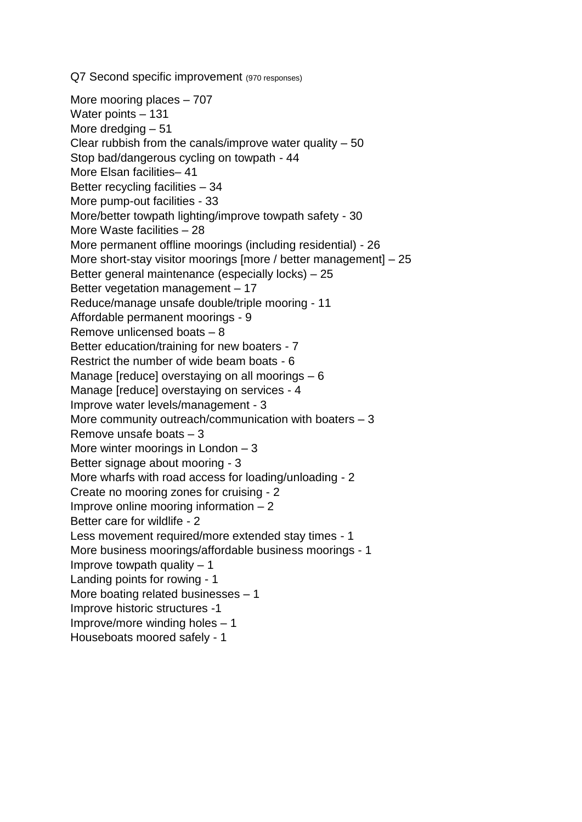Q7 Second specific improvement (970 responses)

More mooring places – 707 Water points – 131 More dredging – 51 Clear rubbish from the canals/improve water quality  $-50$ Stop bad/dangerous cycling on towpath - 44 More Elsan facilities– 41 Better recycling facilities – 34 More pump-out facilities - 33 More/better towpath lighting/improve towpath safety - 30 More Waste facilities – 28 More permanent offline moorings (including residential) - 26 More short-stay visitor moorings [more / better management] – 25 Better general maintenance (especially locks) – 25 Better vegetation management – 17 Reduce/manage unsafe double/triple mooring - 11 Affordable permanent moorings - 9 Remove unlicensed boats – 8 Better education/training for new boaters - 7 Restrict the number of wide beam boats - 6 Manage [reduce] overstaying on all moorings – 6 Manage [reduce] overstaying on services - 4 Improve water levels/management - 3 More community outreach/communication with boaters  $-3$ Remove unsafe boats – 3 More winter moorings in London – 3 Better signage about mooring - 3 More wharfs with road access for loading/unloading - 2 Create no mooring zones for cruising - 2 Improve online mooring information  $-2$ Better care for wildlife - 2 Less movement required/more extended stay times - 1 More business moorings/affordable business moorings - 1 Improve towpath quality  $-1$ Landing points for rowing - 1 More boating related businesses – 1 Improve historic structures -1 Improve/more winding holes – 1 Houseboats moored safely - 1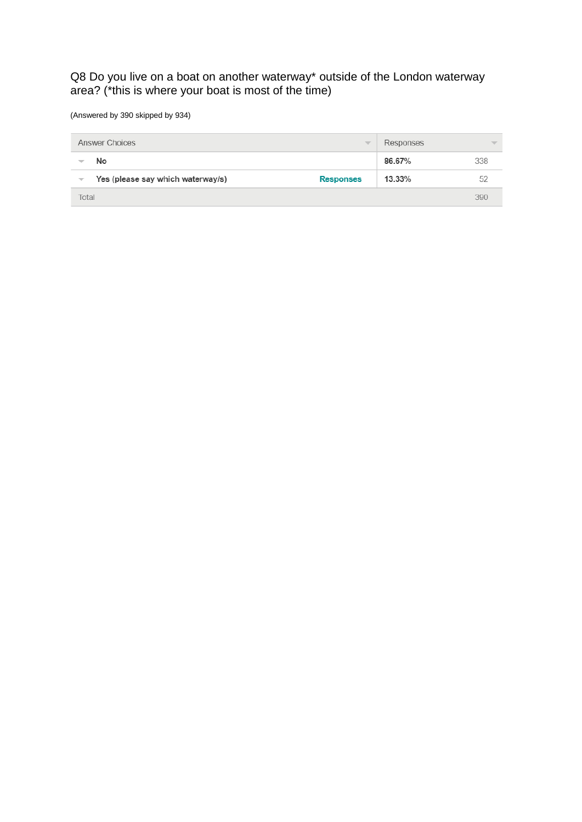### Q8 Do you live on a boat on another waterway\* outside of the London waterway area? (\*this is where your boat is most of the time)

(Answered by 390 skipped by 934)

|                          | Answer Choices<br>$\overline{\phantom{a}}$            | Responses | $\overline{\phantom{a}}$ |
|--------------------------|-------------------------------------------------------|-----------|--------------------------|
|                          | No                                                    | 86.67%    | 338                      |
| $\overline{\phantom{m}}$ | Yes (please say which waterway/s)<br><b>Responses</b> | 13.33%    | 52                       |
| Total                    |                                                       |           | 390                      |
|                          |                                                       |           |                          |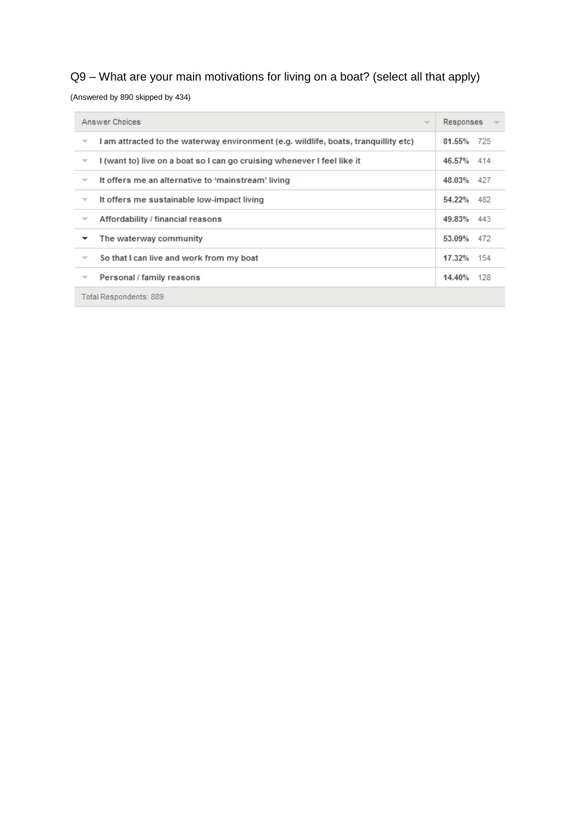# Q9 – What are your main motivations for living on a boat? (select all that apply)

(Answered by 890 skipped by 434)

| Answer Choices<br>$\overline{\phantom{a}}$                                                          | Responses  |  |  |  |
|-----------------------------------------------------------------------------------------------------|------------|--|--|--|
| I am attracted to the waterway environment (e.g. wildlife, boats, tranquillity etc)<br>₹            | 81.55% 725 |  |  |  |
| I (want to) live on a boat so I can go cruising whenever I feel like it<br>$\overline{\phantom{a}}$ | 46.57% 414 |  |  |  |
| It offers me an alternative to 'mainstream' living<br>▼                                             | 48.03% 427 |  |  |  |
| It offers me sustainable low-impact living<br>▼                                                     | 54.22% 482 |  |  |  |
| Affordability / financial reasons                                                                   | 49.83% 443 |  |  |  |
| The waterway community                                                                              | 53.09% 472 |  |  |  |
| So that I can live and work from my boat<br>▼                                                       | 17.32% 154 |  |  |  |
| Personal / family reasons<br>▼                                                                      | 14.40% 128 |  |  |  |
| Total Respondents: 889                                                                              |            |  |  |  |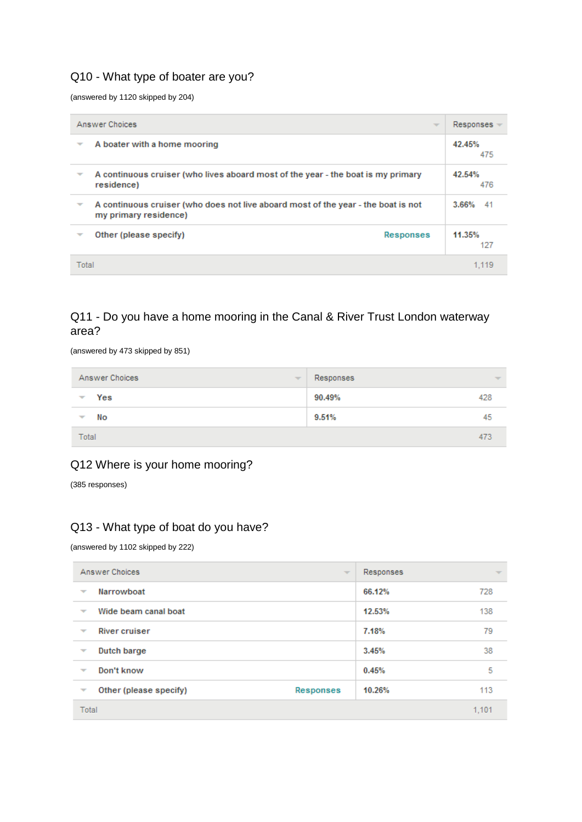### Q10 - What type of boater are you?

(answered by 1120 skipped by 204)

| Answer Choices<br>$\overline{\phantom{a}}$ |                                                                                                            | $Resonses =$  |
|--------------------------------------------|------------------------------------------------------------------------------------------------------------|---------------|
| $\overline{\phantom{a}}$                   | A boater with a home mooring                                                                               | 42.45%<br>475 |
| ▼                                          | A continuous cruiser (who lives aboard most of the year - the boat is my primary<br>residence)             | 42.54%<br>476 |
| ₩                                          | A continuous cruiser (who does not live aboard most of the year - the boat is not<br>my primary residence) | $3.66\%$ 41   |
|                                            | Other (please specify)<br><b>Responses</b>                                                                 | 11.35%<br>127 |
| Total                                      |                                                                                                            |               |

## Q11 - Do you have a home mooring in the Canal & River Trust London waterway area?

(answered by 473 skipped by 851)

| Answer Choices           | Responses                |
|--------------------------|--------------------------|
| $\overline{\phantom{a}}$ | $\overline{\mathcal{M}}$ |
| Yes                      | 90.49%                   |
| $\overline{\phantom{a}}$ | 428                      |
| No                       | 9.51%                    |
| ▼                        | 45                       |
| Total                    | 473                      |

### Q12 Where is your home mooring?

(385 responses)

### Q13 - What type of boat do you have?

(answered by 1102 skipped by 222)

| Answer Choices                                   | $\overline{\mathcal{M}}$ | Responses | $\overline{\mathcal{M}}$ |
|--------------------------------------------------|--------------------------|-----------|--------------------------|
| Narrowboat<br>$\overline{\phantom{a}}$           |                          | 66.12%    | 728                      |
| Wide beam canal boat<br>$\overline{\phantom{a}}$ |                          | 12.53%    | 138                      |
| <b>River cruiser</b><br>$\overline{\phantom{m}}$ |                          | 7.18%     | 79                       |
| Dutch barge<br>$\overline{\phantom{a}}$          |                          | 3.45%     | 38                       |
| Don't know<br>$\overline{\phantom{m}}$           |                          | 0.45%     | 5                        |
| Other (please specify)<br>▼                      | Responses                | 10.26%    | 113                      |
| Total                                            |                          |           | 1,101                    |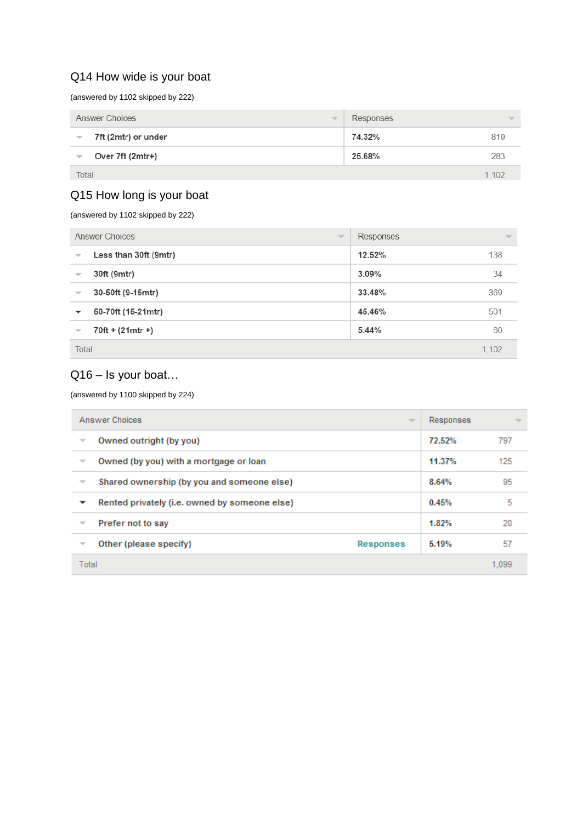### Q14 How wide is your boat

(answered by 1102 skipped by 222)

| Answer Choices           | Responses                             |
|--------------------------|---------------------------------------|
| $\overline{\phantom{a}}$ | <b>The Contract Contract Contract</b> |
| 7ft (2mtr) or under      | 74.32%                                |
| $\overline{\mathbf{v}}$  | 819                                   |
| Over 7ft (2mtr+)         | 25.68%                                |
| $\overline{\phantom{a}}$ | 283                                   |
| Total                    | 1.102                                 |

### Q15 How long is your boat

(answered by 1102 skipped by 222)

| Answer Choices           | Responses                |
|--------------------------|--------------------------|
| $\overline{\phantom{a}}$ | $\overline{\phantom{a}}$ |
| Less than 30ft (9mtr)    | 12.52%                   |
| $\overline{\phantom{a}}$ | 138                      |
| 30ft (9mtr)              | 34                       |
| $\overline{\phantom{a}}$ | 3.09%                    |
| 30-50ft (9-15mtr)        | 33.48%                   |
| $\overline{\phantom{m}}$ | 369                      |
| 50-70ft (15-21mtr)       | 45.46%                   |
| ▼                        | 501                      |
| $70ft + (21mtr +)$       | 5.44%                    |
| $\overline{\phantom{m}}$ | 60                       |
| Total                    |                          |

## Q16 – Is your boat…

#### (answered by 1100 skipped by 224)

|                          | Answer Choices                                | $\overline{\phantom{a}}$ | Responses |       |
|--------------------------|-----------------------------------------------|--------------------------|-----------|-------|
| $\overline{\phantom{a}}$ | Owned outright (by you)                       |                          | 72.52%    | 797   |
| ▼                        | Owned (by you) with a mortgage or loan        |                          | 11.37%    | 125   |
| ₹                        | Shared ownership (by you and someone else)    |                          | 8.64%     | 95    |
| ▽                        | Rented privately (i.e. owned by someone else) |                          | 0.45%     | 5     |
| $\overline{\phantom{a}}$ | Prefer not to say                             |                          | 1.82%     | 20    |
| $\overline{\phantom{a}}$ | Other (please specify)                        | <b>Responses</b>         | 5.19%     | 57    |
| Total                    |                                               |                          |           | 1.099 |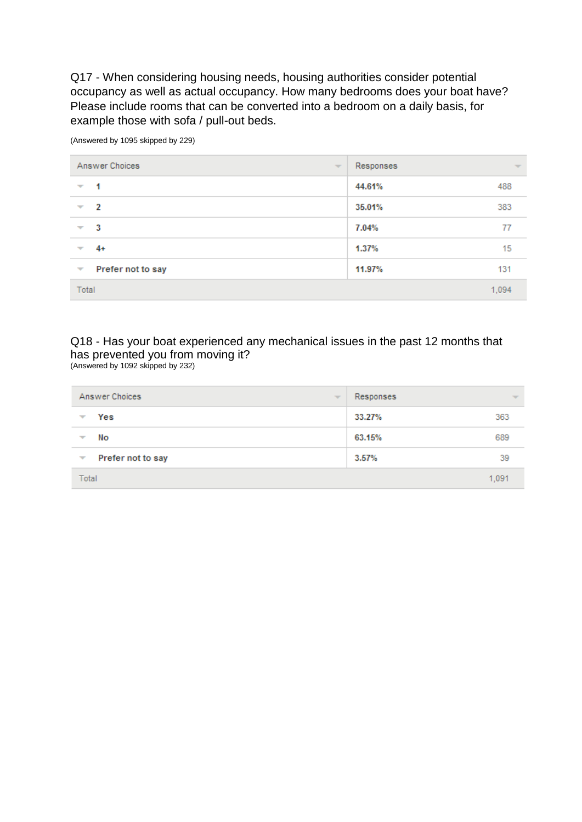Q17 - When considering housing needs, housing authorities consider potential occupancy as well as actual occupancy. How many bedrooms does your boat have? Please include rooms that can be converted into a bedroom on a daily basis, for example those with sofa / pull-out beds.

| Answer Choices           | Responses                |
|--------------------------|--------------------------|
| $\sim$                   | $\overline{\phantom{a}}$ |
| 1                        | 44.61%                   |
| $\overline{\phantom{a}}$ | 488                      |
| $\overline{2}$           | 35.01%                   |
| $\overline{\phantom{a}}$ | 383                      |
| -3                       | 7.04%                    |
| ▼                        | 77                       |
| 4+                       | 15                       |
| ÷                        | 1.37%                    |
| Prefer not to say        | 11.97%                   |
| $\overline{\phantom{a}}$ | 131                      |
| Total                    | 1,094                    |

(Answered by 1095 skipped by 229)

#### Q18 - Has your boat experienced any mechanical issues in the past 12 months that has prevented you from moving it? (Answered by 1092 skipped by 232)

| Answer Choices           | Responses                |
|--------------------------|--------------------------|
| $\overline{\phantom{m}}$ | $\overline{\phantom{m}}$ |
| Yes                      | 363                      |
| $\overline{\phantom{a}}$ | 33.27%                   |
| No                       | 63.15%                   |
| $\overline{\phantom{a}}$ | 689                      |
| Prefer not to say        | 3.57%                    |
| $\overline{\phantom{a}}$ | 39                       |
| Total                    | 1,091                    |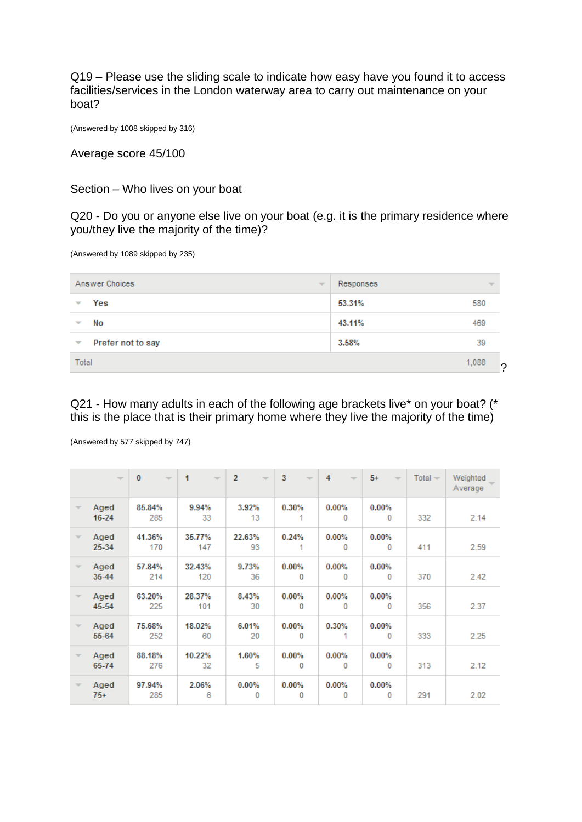Q19 – Please use the sliding scale to indicate how easy have you found it to access facilities/services in the London waterway area to carry out maintenance on your boat?

(Answered by 1008 skipped by 316)

Average score 45/100

Section – Who lives on your boat

Q20 - Do you or anyone else live on your boat (e.g. it is the primary residence where you/they live the majority of the time)?

(Answered by 1089 skipped by 235)

| Answer Choices<br>÷                           | Responses | $\overline{\mathcal{M}}$ |
|-----------------------------------------------|-----------|--------------------------|
| Yes<br>▼                                      | 53.31%    | 580                      |
| No<br>▼                                       | 43.11%    | 469                      |
| Prefer not to say<br>$\overline{\phantom{a}}$ | 3.58%     | 39                       |
| Total                                         | 1,088     | ∩                        |

Q21 - How many adults in each of the following age brackets live\* on your boat? (\* this is the place that is their primary home where they live the majority of the time)

(Answered by 577 skipped by 747)

|                          | $\overline{\phantom{a}}$ | $\mathbf{0}$<br>$\sim$ | 1<br>$\overline{\phantom{a}}$ | $\overline{2}$<br>$\overline{\phantom{a}}$ | 3<br>$\overline{\phantom{a}}$ | 4<br>$\overline{\phantom{a}}$ | $5+$<br>$\overline{\phantom{a}}$ | $Total -$ | Weighted<br>Average |
|--------------------------|--------------------------|------------------------|-------------------------------|--------------------------------------------|-------------------------------|-------------------------------|----------------------------------|-----------|---------------------|
| ÷                        | Aged<br>$16 - 24$        | 85.84%<br>285          | 9.94%<br>33                   | 3.92%<br>13                                | 0.30%                         | 0.00%<br>0                    | 0.00%<br>0                       | 332       | 2.14                |
| $\overline{\phantom{a}}$ | Aged<br>25-34            | 41.36%<br>170          | 35.77%<br>147                 | 22.63%<br>93                               | 0.24%                         | $0.00\%$<br>$\Omega$          | $0.00\%$<br>0                    | 411       | 2.59                |
| $\overline{\mathcal{M}}$ | Aged<br>35-44            | 57.84%<br>214          | 32.43%<br>120                 | 9.73%<br>36                                | $0.00\%$<br>0                 | $0.00\%$<br>0                 | 0.00%<br>0                       | 370       | 2.42                |
| ÷                        | Aged<br>45-54            | 63.20%<br>225          | 28.37%<br>101                 | 8.43%<br>30                                | 0.00%<br>0                    | 0.00%<br>0                    | 0.00%<br>$\mathbf{0}$            | 356       | 2.37                |
|                          | Aged<br>55-64            | 75.68%<br>252          | 18.02%<br>60                  | 6.01%<br>20                                | 0.00%<br>0                    | 0.30%<br>4                    | 0.00%<br>0                       | 333       | 2.25                |
| $\overline{\phantom{a}}$ | Aged<br>65-74            | 88.18%<br>276          | 10.22%<br>32                  | 1.60%<br>5                                 | 0.00%<br>0                    | 0.00%<br>0                    | 0.00%<br>0                       | 313       | 2.12                |
| ÷                        | Aged<br>$75+$            | 97.94%<br>285          | 2.06%<br>6                    | 0.00%<br>0                                 | 0.00%<br>0                    | 0.00%<br>0                    | 0.00%<br>0                       | 291       | 2.02                |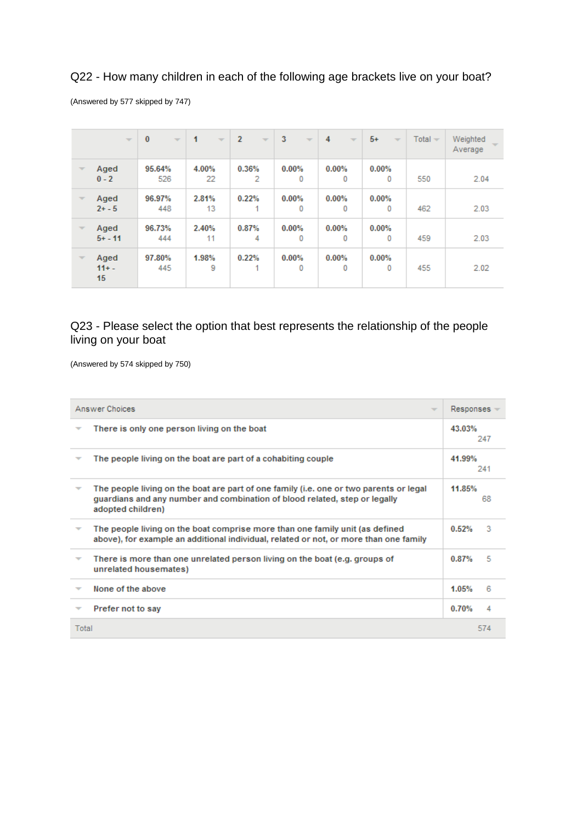### Q22 - How many children in each of the following age brackets live on your boat?

(Answered by 577 skipped by 747)

|                          | $\overline{\mathcal{M}}$ | $\bf{0}$<br>$\overline{\phantom{a}}$ | 1<br>$\overline{\phantom{a}}$ | $\overline{2}$<br>$\overline{\mathcal{M}}$ | 3<br>$\overline{\mathcal{M}}$ | 4<br>$\overline{\phantom{a}}$ | $5+$<br>$\overline{\phantom{a}}$ | $Total -$ | Weighted<br>Average |
|--------------------------|--------------------------|--------------------------------------|-------------------------------|--------------------------------------------|-------------------------------|-------------------------------|----------------------------------|-----------|---------------------|
| $\overline{\phantom{a}}$ | Aged<br>$0 - 2$          | 95.64%<br>526                        | 4.00%<br>22                   | 0.36%<br>2                                 | 0.00%<br>0                    | 0.00%<br>0                    | 0.00%<br>0                       | 550       | 2.04                |
| $\overline{\mathcal{M}}$ | Aged<br>$2 + -5$         | 96.97%<br>448                        | 2.81%<br>13                   | 0.22%<br>1                                 | 0.00%<br>0                    | 0.00%<br>0                    | 0.00%<br>0                       | 462       | 2.03                |
| $\overline{\mathcal{M}}$ | Aged<br>$5 + - 11$       | 96.73%<br>444                        | 2.40%<br>11                   | 0.87%<br>4                                 | 0.00%<br>0                    | 0.00%<br>0                    | 0.00%<br>0                       | 459       | 2.03                |
| v                        | Aged<br>$11 + -$<br>15   | 97.80%<br>445                        | 1.98%<br>9                    | 0.22%<br>1                                 | 0.00%<br>0                    | 0.00%<br>0                    | 0.00%<br>0                       | 455       | 2.02                |

### Q23 - Please select the option that best represents the relationship of the people living on your boat

(Answered by 574 skipped by 750)

|       | Answer Choices<br>$\overline{\phantom{a}}$                                                                                                                                                | $Respones =$ |     |
|-------|-------------------------------------------------------------------------------------------------------------------------------------------------------------------------------------------|--------------|-----|
|       | There is only one person living on the boat                                                                                                                                               | 43.03%       | 247 |
|       | The people living on the boat are part of a cohabiting couple                                                                                                                             | 41.99%       | 241 |
|       | The people living on the boat are part of one family (i.e. one or two parents or legal<br>guardians and any number and combination of blood related, step or legally<br>adopted children) | 11.85%       | 68  |
|       | The people living on the boat comprise more than one family unit (as defined<br>above), for example an additional individual, related or not, or more than one family                     | 0.52%        | з   |
|       | There is more than one unrelated person living on the boat (e.g. groups of<br>unrelated housemates)                                                                                       | 0.87%        | 5   |
|       | None of the above                                                                                                                                                                         | 1.05%        | в   |
|       | Prefer not to say                                                                                                                                                                         | 0.70%        | 4   |
| Total |                                                                                                                                                                                           |              | 574 |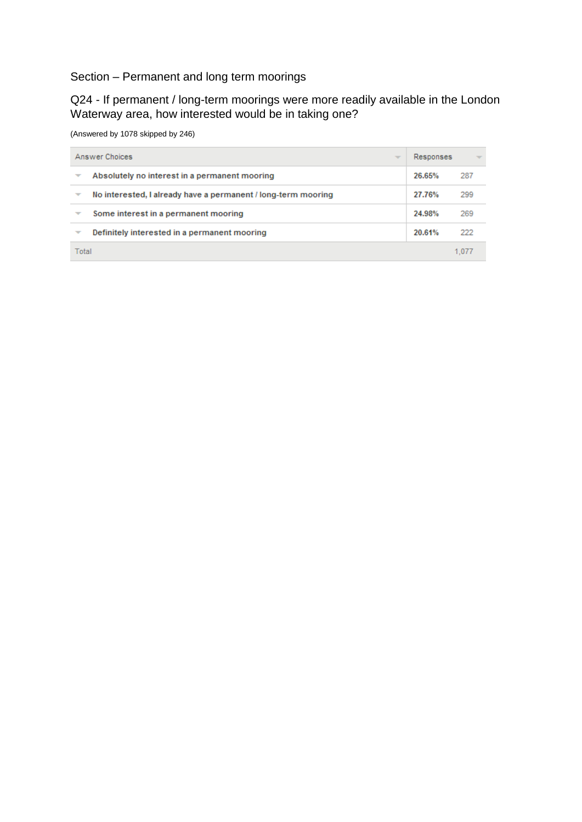## Section – Permanent and long term moorings

Q24 - If permanent / long-term moorings were more readily available in the London Waterway area, how interested would be in taking one?

(Answered by 1078 skipped by 246)

| Answer Choices           | Responses                                                     |        |     |  |  |
|--------------------------|---------------------------------------------------------------|--------|-----|--|--|
| ▼                        | Absolutely no interest in a permanent mooring                 | 26.65% | 287 |  |  |
| $\overline{\phantom{a}}$ | No interested, I already have a permanent / long-term mooring | 27.76% | 299 |  |  |
|                          | Some interest in a permanent mooring                          | 24.98% | 269 |  |  |
| ▼                        | Definitely interested in a permanent mooring                  | 20.61% | 222 |  |  |
| Total                    |                                                               |        |     |  |  |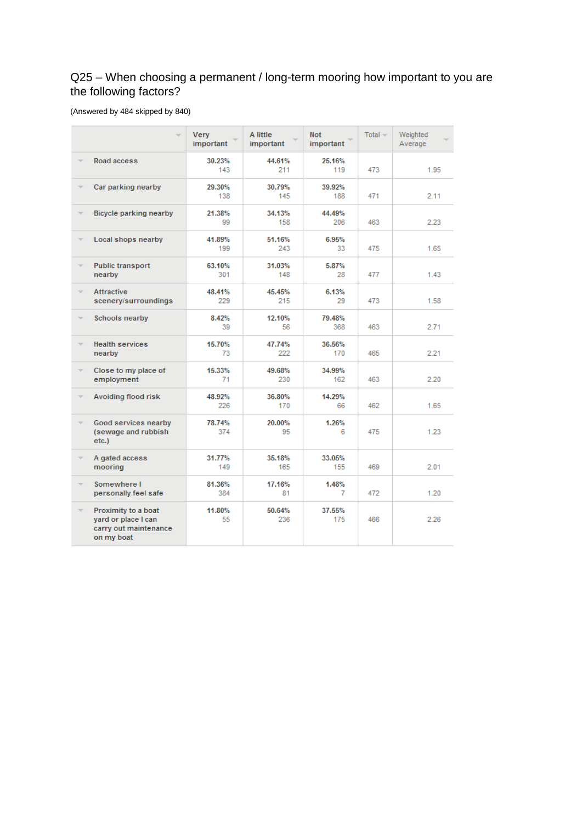## Q25 – When choosing a permanent / long-term mooring how important to you are the following factors?

#### (Answered by 484 skipped by 840)

|                          |                                                                                   | Very<br>important | A little<br>important | <b>Not</b><br>important | $Total -$ | Weighted<br>Average |
|--------------------------|-----------------------------------------------------------------------------------|-------------------|-----------------------|-------------------------|-----------|---------------------|
| ÷                        | Road access                                                                       | 30.23%<br>143     | 44.61%<br>211         | 25.16%<br>119           | 473       | 1.95                |
| ÷                        | Car parking nearby                                                                | 29.30%<br>138     | 30.79%<br>145         | 39.92%<br>188           | 471       | 2.11                |
| ÷                        | Bicycle parking nearby                                                            | 21.38%<br>99      | 34.13%<br>158         | 44.49%<br>206           | 463       | 2.23                |
| v                        | Local shops nearby                                                                | 41.89%<br>199     | 51.16%<br>243         | 6.95%<br>33.            | 475       | 1.65                |
| $\overline{\phantom{a}}$ | <b>Public transport</b><br>nearby                                                 | 63.10%<br>301     | 31.03%<br>148         | 5.87%<br>28             | 477       | 1.43                |
| ÷                        | <b>Attractive</b><br>scenery/surroundings                                         | 48.41%<br>229     | 45.45%<br>215         | 6.13%<br>29             | 473       | 1.58                |
| ÷                        | Schools nearby                                                                    | 8.42%<br>39       | 12.10%<br>56          | 79.48%<br>368           | 463       | 2.71                |
| $\overline{\mathbf{v}}$  | <b>Health services</b><br>nearby                                                  | 15.70%<br>73      | 47.74%<br>222         | 36.56%<br>170           | 465       | 2.21                |
| ÷                        | Close to my place of<br>employment                                                | 15.33%<br>71      | 49.68%<br>230         | 34.99%<br>162           | 463       | 2.20                |
| v                        | Avoiding flood risk                                                               | 48.92%<br>226     | 36.80%<br>170         | 14.29%<br>66            | 462       | 1.65                |
| $\overline{\phantom{a}}$ | Good services nearby<br>(sewage and rubbish<br>etc.)                              | 78.74%<br>374     | 20.00%<br>95          | 1.26%<br>6              | 475       | 1.23                |
|                          | A gated access<br>mooring                                                         | 31.77%<br>149     | 35.18%<br>165         | 33.05%<br>155           | 469       | 2.01                |
| ÷                        | Somewhere I<br>personally feel safe                                               | 81.36%<br>384     | 17.16%<br>81          | 1.48%<br>7              | 472       | 1.20                |
| ÷                        | Proximity to a boat<br>yard or place I can<br>carry out maintenance<br>on my boat | 11.80%<br>55      | 50.64%<br>236         | 37.55%<br>175           | 466       | 2.26                |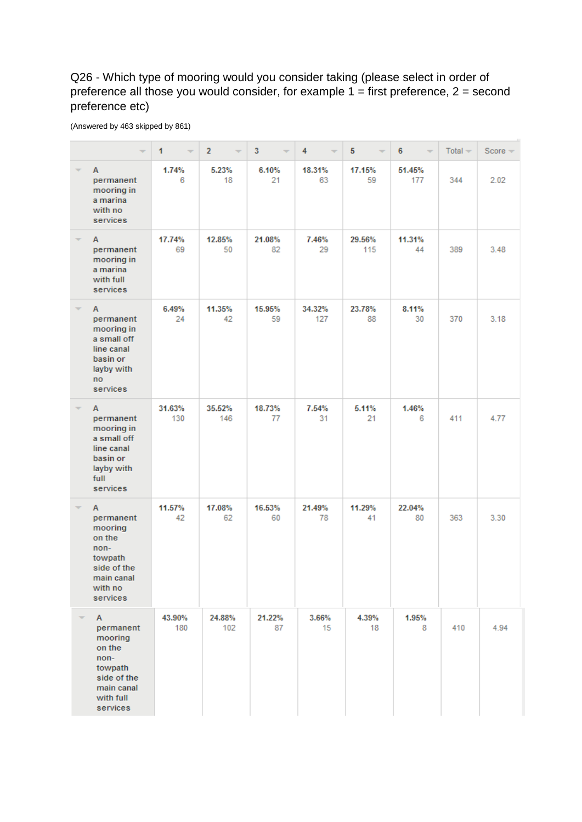## Q26 - Which type of mooring would you consider taking (please select in order of preference all those you would consider, for example  $1 =$  first preference,  $2 =$  second preference etc)

|                          |                                                                                                                         | $\mathbf{1}$  | $\overline{2}$ | $\overline{\mathbf{3}}$ | 4             | 5             | $6\phantom{1}$<br>$\overline{\phantom{a}}$ | $Total -$ | $Score =$ |
|--------------------------|-------------------------------------------------------------------------------------------------------------------------|---------------|----------------|-------------------------|---------------|---------------|--------------------------------------------|-----------|-----------|
| ÷                        | A<br>permanent<br>mooring in<br>a marina<br>with no<br>services                                                         | 1.74%<br>6    | 5.23%<br>18    | 6.10%<br>21             | 18.31%<br>63  | 17.15%<br>59  | 51.45%<br>177                              | 344       | 2.02      |
| $\overline{\phantom{a}}$ | А<br>permanent<br>mooring in<br>a marina<br>with full<br>services                                                       | 17.74%<br>69  | 12.85%<br>50   | 21.08%<br>82            | 7.46%<br>29   | 29.56%<br>115 | 11.31%<br>44                               | 389       | 3.48      |
| ÷                        | A<br>permanent<br>mooring in<br>a small off<br>line canal<br>basin or<br>layby with<br>no<br>services                   | 6.49%<br>24   | 11.35%<br>42   | 15.95%<br>59            | 34.32%<br>127 | 23.78%<br>88  | 8.11%<br>30                                | 370       | 3.18      |
| $\overline{\phantom{a}}$ | A<br>permanent<br>mooring in<br>a small off<br>line canal<br>basin or<br>layby with<br>full<br>services                 | 31.63%<br>130 | 35.52%<br>146  | 18.73%<br>77            | 7.54%<br>31   | 5.11%<br>21   | 1.46%<br>6                                 | 411       | 4.77      |
|                          | A<br>permanent<br>mooring<br>on the<br>non-<br>towpath<br>side of the<br>main canal<br>with no<br>services              | 11.57%<br>42  | 17.08%<br>62   | 16.53%<br>60            | 21.49%<br>78  | 11.29%<br>41  | 22.04%<br>80                               | 363       | 3.30      |
|                          | $\mathbf{A}$<br>permanent<br>mooring<br>on the<br>non-<br>towpath<br>side of the<br>main canal<br>with full<br>services | 43.90%<br>180 | 24.88%<br>102  | 21.22%<br>87            | 3.66%<br>15   | 4.39%<br>18   | 1.95%<br>8                                 | 410       | 4.94      |

(Answered by 463 skipped by 861)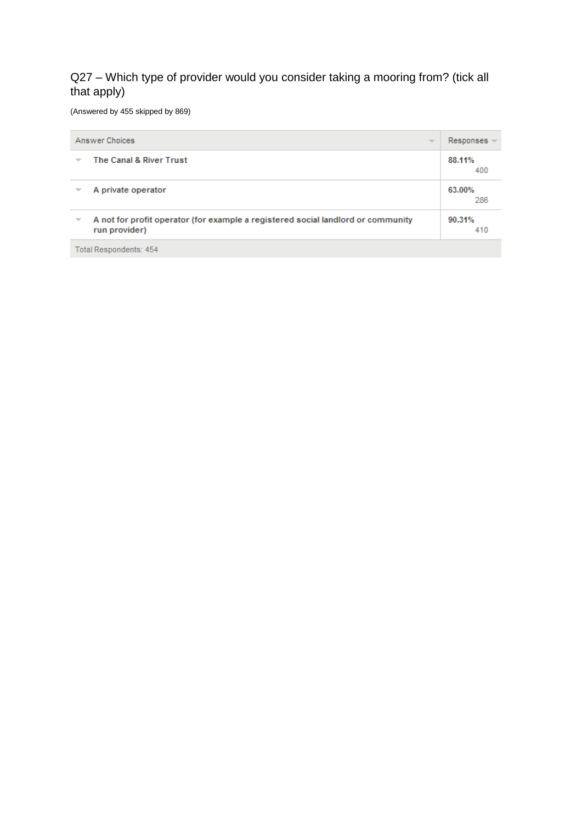## Q27 – Which type of provider would you consider taking a mooring from? (tick all that apply)

(Answered by 455 skipped by 869)

|   | Answer Choices<br>$\overline{\phantom{a}}$                                                        | $Respones =$  |
|---|---------------------------------------------------------------------------------------------------|---------------|
|   | The Canal & River Trust                                                                           | 88.11%<br>400 |
|   | A private operator                                                                                | 63.00%<br>286 |
| ▼ | A not for profit operator (for example a registered social landlord or community<br>run provider) | 90.31%<br>410 |
|   | <b>Total Respondents: 454</b>                                                                     |               |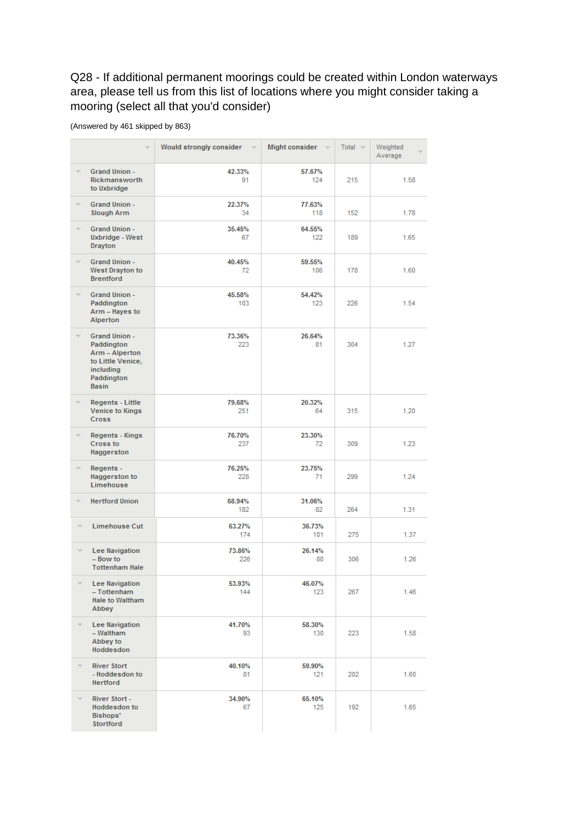## Q28 - If additional permanent moorings could be created within London waterways area, please tell us from this list of locations where you might consider taking a mooring (select all that you'd consider)

(Answered by 461 skipped by 863)

|   |                                                                                                                      | Would strongly consider | Might consider | Total $\sim$ | Weighted<br>Average |
|---|----------------------------------------------------------------------------------------------------------------------|-------------------------|----------------|--------------|---------------------|
|   | Grand Union -<br><b>Rickmansworth</b><br>to Uxbridge                                                                 | 42.33%<br>91            | 57.67%<br>124  | 215          | 1.58                |
|   | <b>Grand Union -</b><br>Slough Arm                                                                                   | 22.37%<br>34            | 77.63%<br>118  | 152          | 1.78                |
|   | <b>Grand Union -</b><br>Uxbridge - West<br><b>Drayton</b>                                                            | 35.45%<br>67            | 64.55%<br>122  | 189          | 1.65                |
|   | <b>Grand Union -</b><br>West Drayton to<br><b>Brentford</b>                                                          | 40.45%<br>72            | 59.55%<br>106  | 178          | 1.60                |
|   | <b>Grand Union -</b><br>Paddington<br>Arm - Hayes to<br>Alperton                                                     | 45.58%<br>103           | 54.42%<br>123  | 226          | 1.54                |
|   | <b>Grand Union -</b><br>Paddington<br>Arm - Alperton<br>to Little Venice.<br>including<br>Paddington<br><b>Basin</b> | 73.36%<br>223           | 26.64%<br>81   | 304          | 1.27                |
|   | Regents - Little<br>Venice to Kings<br><b>Cross</b>                                                                  | 79.68%<br>251           | 20.32%<br>64   | 315          | 1.20                |
|   | Regents - Kings<br>Cross to<br>Haggerston                                                                            | 76.70%<br>237           | 23.30%<br>72   | 309          | 1.23                |
|   | Regents -<br>Haggerston to<br>Limehouse                                                                              | 76.25%<br>228           | 23.75%<br>71   | 299          | 1.24                |
|   | <b>Hertford Union</b>                                                                                                | 68.94%<br>182           | 31.06%<br>82   | 264          | 1.31                |
| ÷ | Limehouse Cut                                                                                                        | 63.27%<br>174           | 36.73%<br>101  | 275          | 1.37                |
| ÷ | Lee Navigation<br>- Bow to<br><b>Tottenham Hale</b>                                                                  | 73.86%<br>226           | 26.14%<br>80   | 306          | 1.26                |
|   | Lee Navigation<br>- Tottenham<br>Hale to Waltham<br>Abbey                                                            | 53.93%<br>144           | 46.07%<br>123  | 267          | 1.46                |
|   | Lee Navigation<br>- Waltham<br>Abbey to<br>Hoddesdon                                                                 | 41.70%<br>93            | 58.30%<br>130  | 223          | 1.58                |
|   | <b>River Stort</b><br>- Hoddesdon to<br>Hertford                                                                     | 40.10%<br>81            | 59.90%<br>121  | 202          | 1.60                |
|   | River Stort -<br>Hoddesdon to<br>Bishops'<br>Stortford                                                               | 34.90%<br>67            | 65.10%<br>125  | 192          | 1.65                |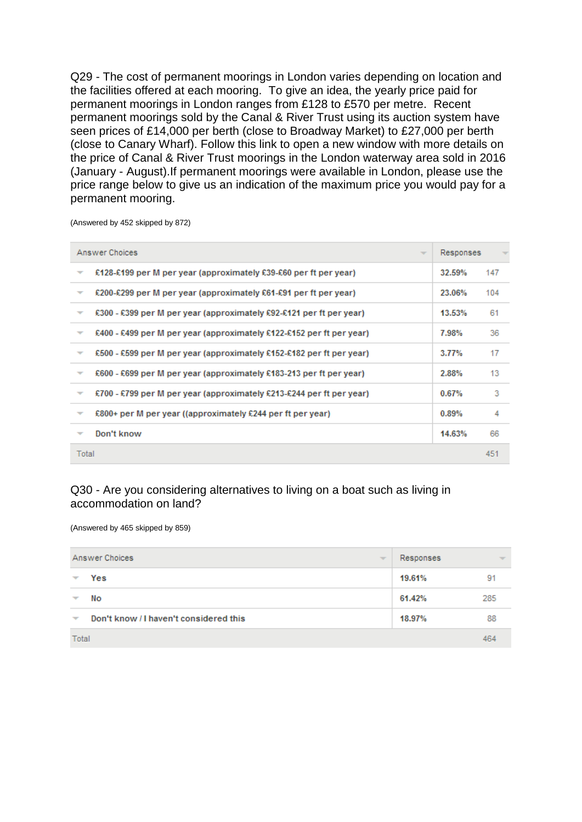Q29 - The cost of permanent moorings in London varies depending on location and the facilities offered at each mooring. To give an idea, the yearly price paid for permanent moorings in London ranges from £128 to £570 per metre. Recent permanent moorings sold by the Canal & River Trust using its auction system have seen prices of £14,000 per berth (close to Broadway Market) to £27,000 per berth (close to Canary Wharf). Follow this link to open a new window with more details on the price of Canal & River Trust moorings in the London waterway area sold in 2016 (January - August).If permanent moorings were available in London, please use the price range below to give us an indication of the maximum price you would pay for a permanent mooring.

(Answered by 452 skipped by 872)

|                          | Answer Choices<br>$\overline{\phantom{a}}$                           | Responses |     |
|--------------------------|----------------------------------------------------------------------|-----------|-----|
| ₹                        | £128-£199 per M per year (approximately £39-£60 per ft per year)     | 32.59%    | 147 |
| $\overline{\phantom{a}}$ | £200-£299 per M per year (approximately £61-£91 per ft per year)     | 23.06%    | 104 |
| ÷                        | £300 - £399 per M per year (approximately £92-£121 per ft per year)  | 13.53%    | 61  |
| $\overline{\phantom{a}}$ | £400 - £499 per M per year (approximately £122-£152 per ft per year) | 7.98%     | 36  |
| ÷                        | £500 - £599 per M per year (approximately £152-£182 per ft per year) | 3.77%     | 17  |
| $\overline{\phantom{a}}$ | £600 - £699 per M per year (approximately £183-213 per ft per year)  | 2.88%     | 13  |
| v                        | £700 - £799 per M per year (approximately £213-£244 per ft per year) | 0.67%     | з   |
| $\overline{\phantom{a}}$ | £800+ per M per year ((approximately £244 per ft per year)           | 0.89%     | 4   |
| $\overline{\phantom{a}}$ | Don't know                                                           | 14.63%    | 66  |
| Total                    |                                                                      |           | 451 |

### Q30 - Are you considering alternatives to living on a boat such as living in accommodation on land?

(Answered by 465 skipped by 859)

| Answer Choices<br>$\overline{\phantom{a}}$ |                                        | Responses | ÷   |
|--------------------------------------------|----------------------------------------|-----------|-----|
| $\overline{\phantom{a}}$                   | Yes                                    | 19.61%    | 91  |
| ▼                                          | No                                     | 61.42%    | 285 |
| $\overline{\mathbf{v}}$                    | Don't know / I haven't considered this | 18.97%    | 88  |
| Total                                      |                                        |           | 46. |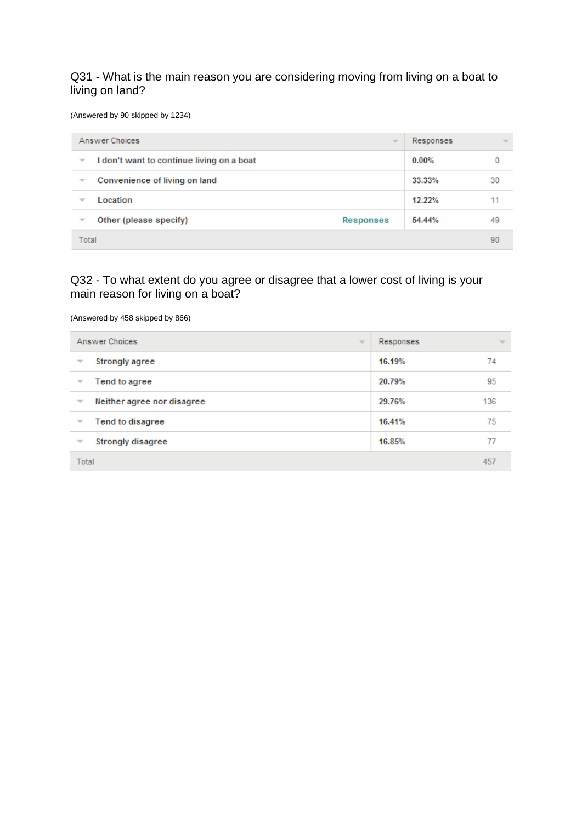### Q31 - What is the main reason you are considering moving from living on a boat to living on land?

(Answered by 90 skipped by 1234)

| Answer Choices<br>$\overline{\phantom{a}}$ |                                           | Responses        | $\overline{\phantom{a}}$ |    |
|--------------------------------------------|-------------------------------------------|------------------|--------------------------|----|
| ▼                                          | I don't want to continue living on a boat |                  | $0.00\%$                 |    |
| $\overline{\phantom{a}}$                   | Convenience of living on land             |                  | 33.33%                   | 30 |
| Location<br>v                              |                                           |                  | 12.22%                   |    |
| ₩                                          | Other (please specify)                    | <b>Responses</b> | 54.44%                   | 49 |
| Total                                      |                                           |                  | 90                       |    |

### Q32 - To what extent do you agree or disagree that a lower cost of living is your main reason for living on a boat?

(Answered by 458 skipped by 866)

| Answer Choices<br>$\overline{\phantom{a}}$ | Responses | $\overline{\phantom{a}}$ |
|--------------------------------------------|-----------|--------------------------|
| <b>Strongly agree</b><br>▼                 | 16.19%    | 74                       |
| Tend to agree<br>▼                         | 20.79%    | 95                       |
| Neither agree nor disagree<br>▼            | 29.76%    | 136                      |
| Tend to disagree<br>▼                      | 16.41%    | 75                       |
| <b>Strongly disagree</b><br>▼              | 16.85%    | 77                       |
| Total                                      |           | 457                      |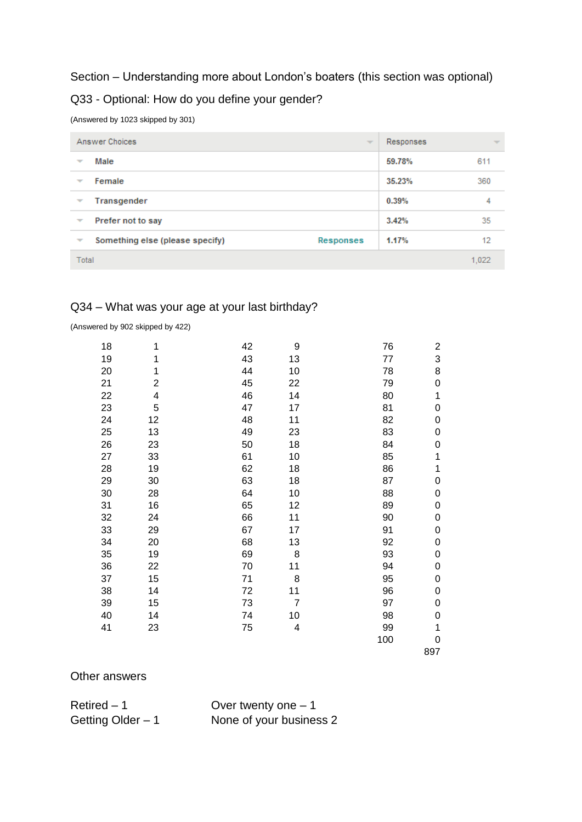### Section – Understanding more about London's boaters (this section was optional)

### Q33 - Optional: How do you define your gender?

(Answered by 1023 skipped by 301)

|                          | Answer Choices                  | $\overline{\phantom{a}}$ | Responses | $\overline{\phantom{a}}$ |
|--------------------------|---------------------------------|--------------------------|-----------|--------------------------|
| $\overline{\phantom{a}}$ | Male                            |                          | 59.78%    | 611                      |
| $\overline{\phantom{a}}$ | Female                          |                          | 35.23%    | 360                      |
| $\overline{\phantom{a}}$ | Transgender                     |                          | 0.39%     | 4                        |
| $\overline{\phantom{a}}$ | Prefer not to say               |                          | 3.42%     | 35                       |
| $\overline{\phantom{a}}$ | Something else (please specify) | Responses                | 1.17%     | 12                       |
|                          | Total                           |                          |           | 1.022                    |

## Q34 – What was your age at your last birthday?

(Answered by 902 skipped by 422)

| 18 | 1  | 42 | 9              | 76  | $\overline{c}$ |
|----|----|----|----------------|-----|----------------|
| 19 | 1  | 43 | 13             | 77  | 3              |
| 20 | 1  | 44 | 10             | 78  | 8              |
| 21 | 2  | 45 | 22             | 79  | 0              |
| 22 | 4  | 46 | 14             | 80  | 1              |
| 23 | 5  | 47 | 17             | 81  | 0              |
| 24 | 12 | 48 | 11             | 82  | 0              |
| 25 | 13 | 49 | 23             | 83  | 0              |
| 26 | 23 | 50 | 18             | 84  | 0              |
| 27 | 33 | 61 | 10             | 85  | 1              |
| 28 | 19 | 62 | 18             | 86  | $\mathbf 1$    |
| 29 | 30 | 63 | 18             | 87  | 0              |
| 30 | 28 | 64 | 10             | 88  | 0              |
| 31 | 16 | 65 | 12             | 89  | 0              |
| 32 | 24 | 66 | 11             | 90  | 0              |
| 33 | 29 | 67 | 17             | 91  | 0              |
| 34 | 20 | 68 | 13             | 92  | 0              |
| 35 | 19 | 69 | 8              | 93  | 0              |
| 36 | 22 | 70 | 11             | 94  | 0              |
| 37 | 15 | 71 | 8              | 95  | 0              |
| 38 | 14 | 72 | 11             | 96  | 0              |
| 39 | 15 | 73 | $\overline{7}$ | 97  | 0              |
| 40 | 14 | 74 | 10             | 98  | 0              |
| 41 | 23 | 75 | 4              | 99  | 1              |
|    |    |    |                | 100 | 0              |
|    |    |    |                |     | 897            |

#### Other answers

Retired – 1 Over twenty one – 1 Getting Older – 1 None of your business 2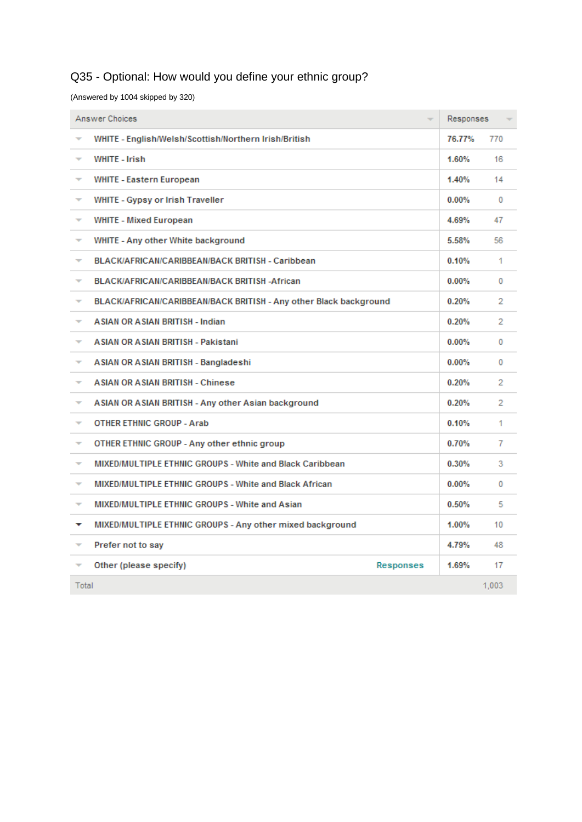# Q35 - Optional: How would you define your ethnic group?

(Answered by 1004 skipped by 320)

|                          | Answer Choices<br>$\overline{\phantom{a}}$                        | Responses |          |
|--------------------------|-------------------------------------------------------------------|-----------|----------|
|                          | WHITE - English/Welsh/Scottish/Northern Irish/British             | 76.77%    | 770      |
| $\overline{\phantom{a}}$ | <b>WHITE - Irish</b>                                              | 1.60%     | 16       |
| $\overline{\phantom{a}}$ | <b>WHITE - Eastern European</b>                                   | 1.40%     | 14       |
| $\overline{\phantom{a}}$ | WHITE - Gypsy or Irish Traveller                                  | 0.00%     | $\Omega$ |
| $\overline{\phantom{a}}$ | <b>WHITE - Mixed European</b>                                     | 4.69%     | 47       |
| ÷                        | WHITE - Any other White background                                | 5.58%     | 56       |
| ₹                        | BLACK/AFRICAN/CARIBBEAN/BACK BRITISH - Caribbean                  | 0.10%     | 1        |
| $\overline{\phantom{a}}$ | BLACK/AFRICAN/CARIBBEAN/BACK BRITISH -African                     | $0.00\%$  | 0        |
| ₹                        | BLACK/AFRICAN/CARIBBEAN/BACK BRITISH - Any other Black background | 0.20%     | 2        |
| ÷                        | <b>ASIAN OR ASIAN BRITISH - Indian</b>                            | 0.20%     | 2        |
| ÷                        | <b>ASIAN OR ASIAN BRITISH - Pakistani</b>                         | 0.00%     | 0        |
| ÷                        | ASIAN OR ASIAN BRITISH - Bangladeshi                              | $0.00\%$  | 0        |
| $\overline{\phantom{a}}$ | <b>ASIAN OR ASIAN BRITISH - Chinese</b>                           | 0.20%     | 2        |
| $\overline{\phantom{a}}$ | ASIAN OR ASIAN BRITISH - Any other Asian background               | 0.20%     | 2        |
| $\overline{\phantom{a}}$ | <b>OTHER ETHNIC GROUP - Arab</b>                                  | 0.10%     | 1        |
| ₹                        | OTHER ETHNIC GROUP - Any other ethnic group                       | 0.70%     | 7        |
| ÷                        | <b>MIXED/MULTIPLE ETHNIC GROUPS - White and Black Caribbean</b>   | $0.30\%$  | 3.       |
| ÷                        | MIXED/MULTIPLE ETHNIC GROUPS - White and Black African            | 0.00%     | $\Omega$ |
| $\overline{\phantom{a}}$ | <b>MIXED/MULTIPLE ETHNIC GROUPS - White and Asian</b>             | 0.50%     | 5        |
| v                        | MIXED/MULTIPLE ETHNIC GROUPS - Any other mixed background         | 1.00%     | 10       |
| ÷                        | Prefer not to say                                                 | 4.79%     | 48       |
| $\overline{\phantom{a}}$ | Other (please specify)<br>Responses                               | 1.69%     | 17       |
| Total                    |                                                                   |           | 1.003    |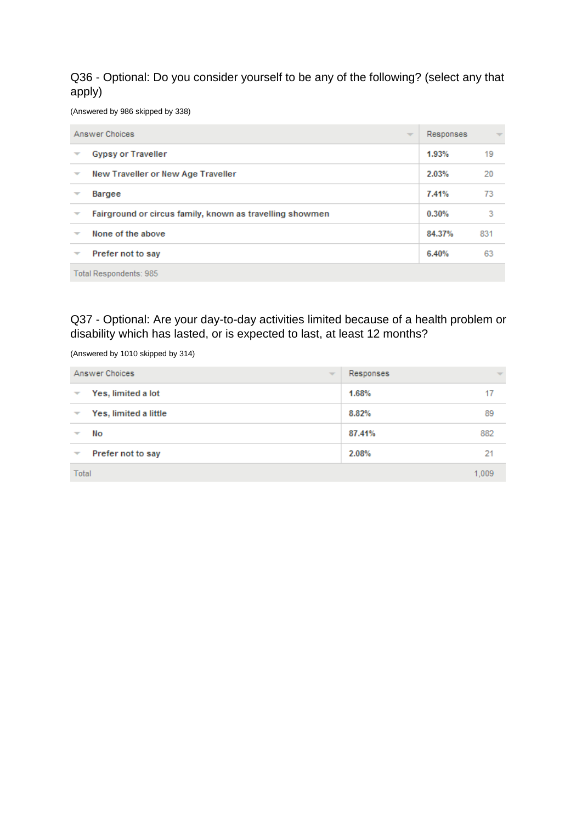Q36 - Optional: Do you consider yourself to be any of the following? (select any that apply)

(Answered by 986 skipped by 338)

| Answer Choices<br>$\overline{\phantom{a}}$ |                                                          | Responses | $\overline{\phantom{a}}$ |  |
|--------------------------------------------|----------------------------------------------------------|-----------|--------------------------|--|
| ▼                                          | <b>Gypsy or Traveller</b>                                | 1.93%     | 19                       |  |
| $\overline{\phantom{a}}$                   | New Traveller or New Age Traveller                       | 2.03%     | 20                       |  |
|                                            | <b>Bargee</b>                                            | 7.41%     | 73                       |  |
|                                            | Fairground or circus family, known as travelling showmen | 0.30%     | 3                        |  |
| $\overline{\phantom{a}}$                   | None of the above                                        | 84.37%    | 831                      |  |
| ▼                                          | Prefer not to say                                        | 6.40%     | 63                       |  |
|                                            | Total Respondents: 985                                   |           |                          |  |

Q37 - Optional: Are your day-to-day activities limited because of a health problem or disability which has lasted, or is expected to last, at least 12 months?

(Answered by 1010 skipped by 314)

| Answer Choices<br>$\overline{\phantom{a}}$        | Responses | $\overline{\phantom{a}}$ |
|---------------------------------------------------|-----------|--------------------------|
| Yes, limited a lot<br>▼                           | 1.68%     | 17                       |
| Yes, limited a little<br>$\overline{\phantom{a}}$ | 8.82%     | 89                       |
| No                                                | 87.41%    | 882                      |
| Prefer not to say<br>$\overline{\phantom{a}}$     | 2.08%     | 21                       |
| Total                                             |           | 1.009                    |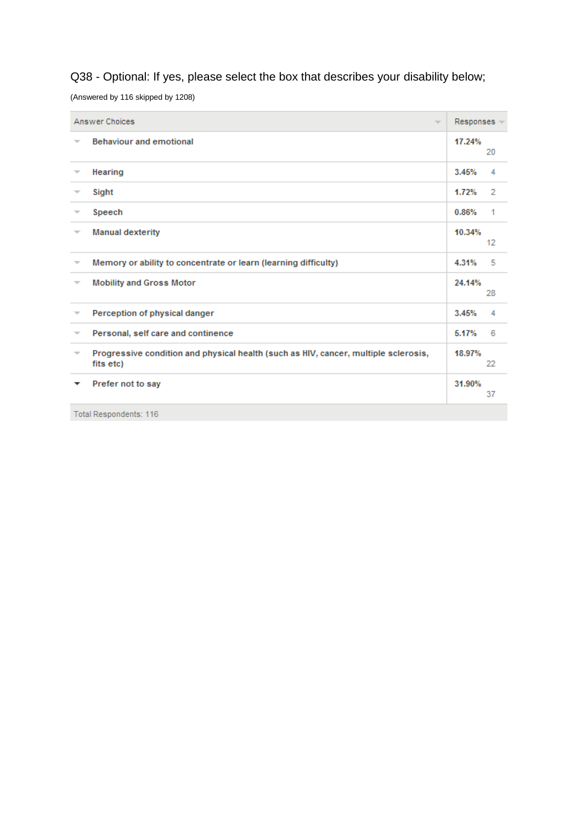# Q38 - Optional: If yes, please select the box that describes your disability below;

(Answered by 116 skipped by 1208)

|                          | Answer Choices<br>$\overline{\phantom{a}}$                                                       | Responses - |    |
|--------------------------|--------------------------------------------------------------------------------------------------|-------------|----|
| $\overline{\phantom{a}}$ | <b>Behaviour and emotional</b>                                                                   | 17.24%      | 20 |
|                          | Hearing                                                                                          | 3.45%       | 4  |
| $\overline{\phantom{a}}$ | Sight                                                                                            | 1.72%       | 2  |
| $\overline{\phantom{a}}$ | Speech                                                                                           | 0.86%       | 1  |
| ▼                        | <b>Manual dexterity</b>                                                                          | 10.34%      | 12 |
| ▼                        | Memory or ability to concentrate or learn (learning difficulty)                                  | 4.31%       | 5  |
| $\overline{\phantom{a}}$ | <b>Mobility and Gross Motor</b>                                                                  | 24.14%      | 28 |
| $\overline{\phantom{a}}$ | Perception of physical danger                                                                    | 3.45%       | 4  |
| $\overline{\phantom{a}}$ | Personal, self care and continence                                                               | 5.17%       | 6  |
| $\overline{\phantom{a}}$ | Progressive condition and physical health (such as HIV, cancer, multiple sclerosis,<br>fits etc) | 18.97%      | 22 |
|                          | Prefer not to say                                                                                | 31.90%      | 37 |
|                          | Total Respondents: 116                                                                           |             |    |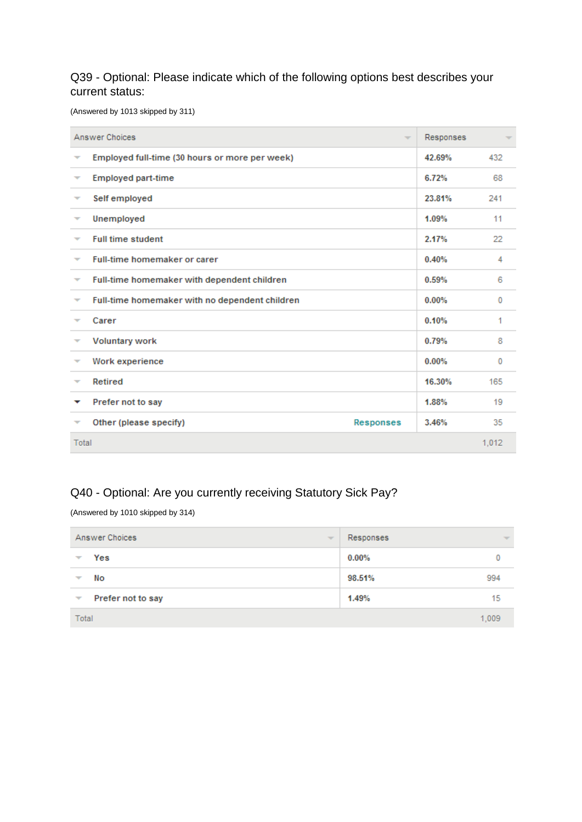### Q39 - Optional: Please indicate which of the following options best describes your current status:

(Answered by 1013 skipped by 311)

|                          | Answer Choices<br>$\overline{\mathcal{M}}$     | Responses |       |
|--------------------------|------------------------------------------------|-----------|-------|
| ▼                        | Employed full-time (30 hours or more per week) | 42.69%    | 432   |
| ₩                        | <b>Employed part-time</b>                      | 6.72%     | 68    |
| ₩                        | Self employed                                  | 23.81%    | 241   |
| ▼                        | Unemployed                                     | 1.09%     | 11    |
| ┳                        | <b>Full time student</b>                       | 2.17%     | 22    |
| ₩                        | <b>Full-time homemaker or carer</b>            | 0.40%     | 4     |
| $\overline{\phantom{a}}$ | Full-time homemaker with dependent children    | 0.59%     | 6     |
| ▼                        | Full-time homemaker with no dependent children | $0.00\%$  | 0     |
|                          | Carer                                          | 0.10%     | 1     |
| $\overline{\phantom{a}}$ | <b>Voluntary work</b>                          | 0.79%     | 8     |
| ₹                        | Work experience                                | 0.00%     | 0     |
|                          | Retired                                        | 16.30%    | 165   |
| ▼                        | Prefer not to say                              | 1.88%     | 19    |
| ┯                        | Other (please specify)<br>Responses            | 3.46%     | 35    |
| Total                    |                                                |           | 1,012 |

## Q40 - Optional: Are you currently receiving Statutory Sick Pay?

(Answered by 1010 skipped by 314)

| Answer Choices<br>$\overline{\mathcal{M}}$    | Responses     | $\overline{\mathcal{M}}$ |
|-----------------------------------------------|---------------|--------------------------|
| Yes<br>₩                                      | 0.00%         |                          |
| No<br>$\overline{\phantom{a}}$                | 98.51%<br>994 |                          |
| Prefer not to say<br>$\overline{\phantom{a}}$ | 1.49%<br>15   |                          |
| Total                                         | 1,009         |                          |